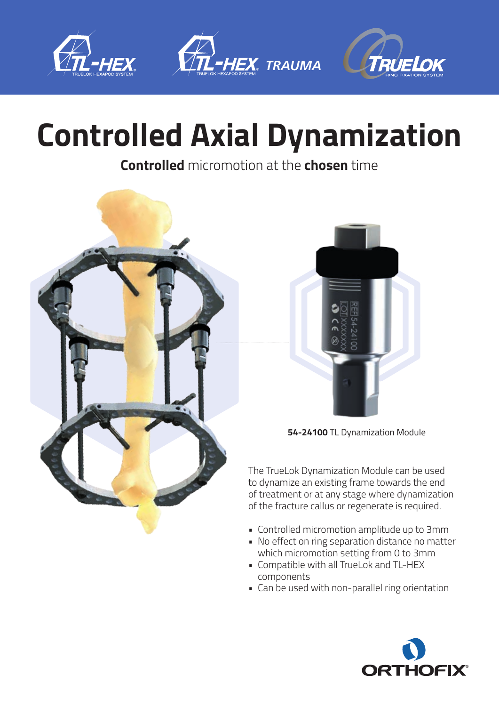





## **Controlled Axial Dynamization**

**Controlled** micromotion at the **chosen** time





**54-24100** TL Dynamization Module

The TrueLok Dynamization Module can be used to dynamize an existing frame towards the end of treatment or at any stage where dynamization of the fracture callus or regenerate is required.

- Controlled micromotion amplitude up to 3mm
- No effect on ring separation distance no matter which micromotion setting from 0 to 3mm
- Compatible with all TrueLok and TL-HEX components
- Can be used with non-parallel ring orientation